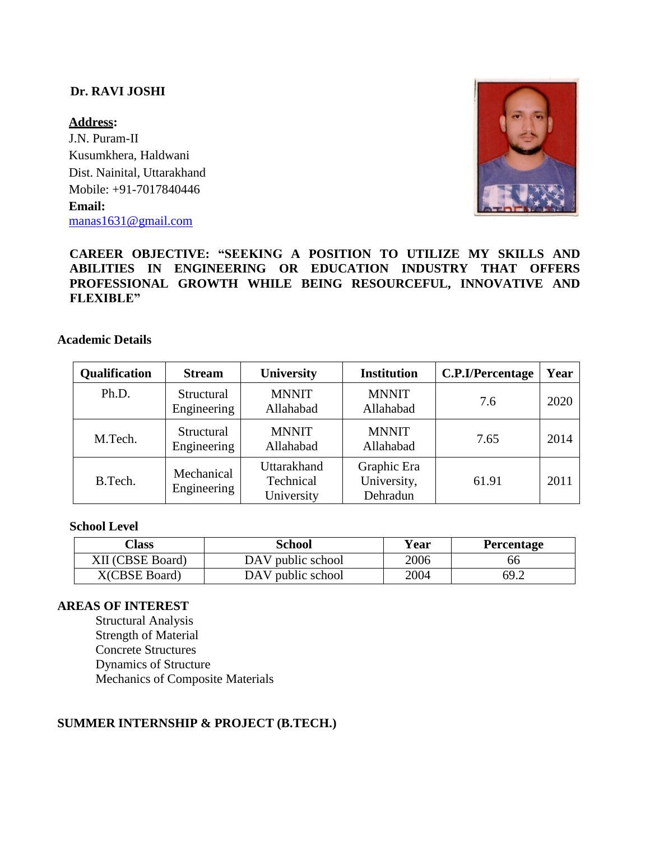# **Dr. RAVI JOSHI**

**Address:** J.N. Puram-II Kusumkhera, Haldwani Dist. Nainital, Uttarakhand Mobile: +91-7017840446 **Email:** [manas1631@gmail.com](mailto:manas1631@gmail.com)



# **CAREER OBJECTIVE: "SEEKING A POSITION TO UTILIZE MY SKILLS AND ABILITIES IN ENGINEERING OR EDUCATION INDUSTRY THAT OFFERS PROFESSIONAL GROWTH WHILE BEING RESOURCEFUL, INNOVATIVE AND FLEXIBLE"**

#### **Academic Details**

| Qualification | <b>Stream</b>             | <b>University</b>                      | <b>Institution</b>                     | C.P.I/Percentage | Year |
|---------------|---------------------------|----------------------------------------|----------------------------------------|------------------|------|
| Ph.D.         | Structural<br>Engineering | <b>MNNIT</b><br>Allahabad              | <b>MNNIT</b><br>Allahabad              | 7.6              | 2020 |
| M.Tech.       | Structural<br>Engineering | <b>MNNIT</b><br>Allahabad              | <b>MNNIT</b><br>Allahabad              | 7.65             | 2014 |
| B.Tech.       | Mechanical<br>Engineering | Uttarakhand<br>Technical<br>University | Graphic Era<br>University,<br>Dehradun | 61.91            | 2011 |

#### **School Level**

| Class            | School            | Year | Percentage |
|------------------|-------------------|------|------------|
| XII (CBSE Board) | DAV public school | 2006 | 66         |
| X(CBSE Board)    | DAV public school | 2004 | 69.2       |

#### **AREAS OF INTEREST**

Structural Analysis Strength of Material Concrete Structures Dynamics of Structure Mechanics of Composite Materials

## **SUMMER INTERNSHIP & PROJECT (B.TECH.)**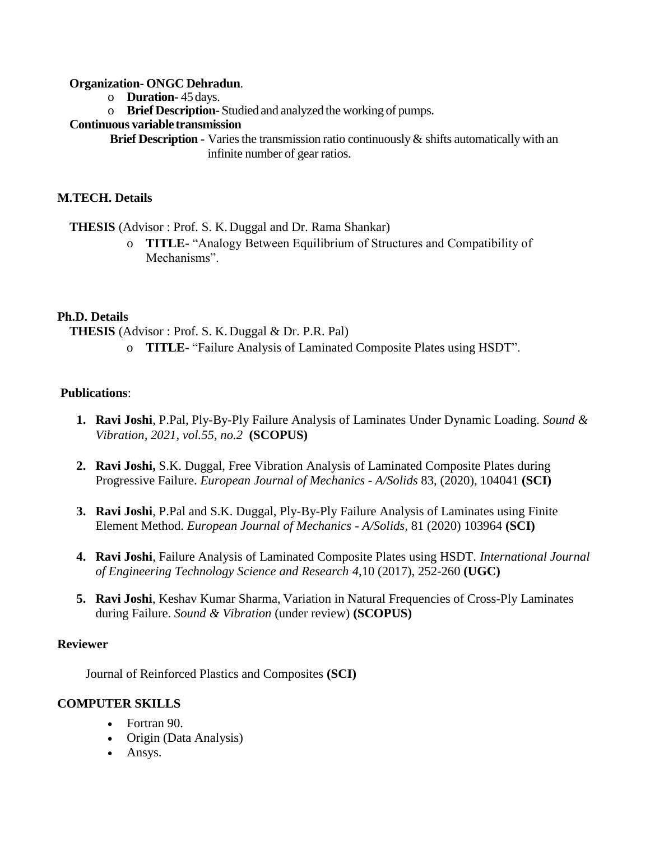## **Organization- ONGC Dehradun**.

- o **Duration-** 45 days.
- o **Brief Description-** Studied and analyzed the working of pumps.

## **Continuous variable transmission**

**Brief Description -** Varies the transmission ratio continuously & shifts automatically with an infinite number of gear ratios.

## **M.TECH. Details**

**THESIS** (Advisor : Prof. S. K. Duggal and Dr. Rama Shankar)

o **TITLE-** "Analogy Between Equilibrium of Structures and Compatibility of Mechanisms".

## **Ph.D. Details**

**THESIS** (Advisor : Prof. S. K. Duggal & Dr. P.R. Pal)

o **TITLE-** "Failure Analysis of Laminated Composite Plates using HSDT".

## **Publications**:

- **1. Ravi Joshi**, P.Pal, Ply-By-Ply Failure Analysis of Laminates Under Dynamic Loading. *Sound & Vibration, 2021, vol.55, no.2* **(SCOPUS)**
- **2. Ravi Joshi,** S.K. Duggal, Free Vibration Analysis of Laminated Composite Plates during Progressive Failure. *European Journal of Mechanics - A/Solids* 83, (2020), 104041 **(SCI)**
- **3. Ravi Joshi**, P.Pal and S.K. Duggal, Ply-By-Ply Failure Analysis of Laminates using Finite Element Method. *European Journal of Mechanics - A/Solids,* 81 (2020) 103964 **(SCI)**
- **4. Ravi Joshi**, Failure Analysis of Laminated Composite Plates using HSDT. *International Journal of Engineering Technology Science and Research 4*,10 (2017), 252-260 **(UGC)**
- **5. Ravi Joshi**, Keshav Kumar Sharma, Variation in Natural Frequencies of Cross-Ply Laminates during Failure. *Sound & Vibration* (under review) **(SCOPUS)**

## **Reviewer**

Journal of Reinforced Plastics and Composites **(SCI)**

## **COMPUTER SKILLS**

- Fortran 90.
- Origin (Data Analysis)
- Ansys.